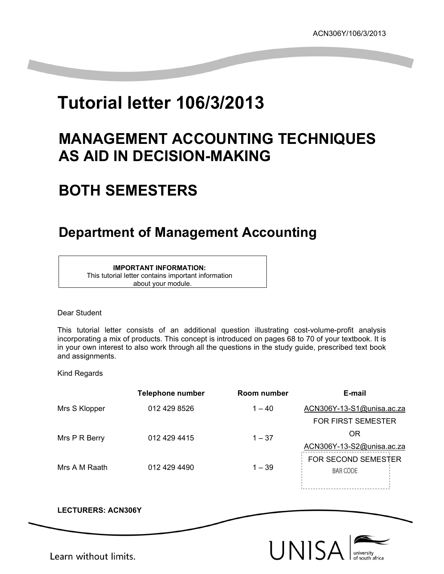# **Tutorial letter 106/3/2013**

### **MANAGEMENT ACCOUNTING TECHNIQUES AS AID IN DECISION-MAKING**

## **BOTH SEMESTERS**

### **Department of Management Accounting**

#### **IMPORTANT INFORMATION:**

This tutorial letter contains important information about your module.

#### Dear Student

This tutorial letter consists of an additional question illustrating cost-volume-profit analysis incorporating a mix of products. This concept is introduced on pages 68 to 70 of your textbook. It is in your own interest to also work through all the questions in the study guide, prescribed text book and assignments.

Kind Regards

|               | <b>Telephone number</b> | Room number | E-mail                     |
|---------------|-------------------------|-------------|----------------------------|
| Mrs S Klopper | 012 429 8526            | $1 - 40$    | ACN306Y-13-S1@unisa.ac.za  |
|               |                         |             | <b>FOR FIRST SEMESTER</b>  |
| Mrs P R Berry | 012 429 4415            | $1 - 37$    | 0R                         |
|               |                         |             | ACN306Y-13-S2@unisa.ac.za  |
| Mrs A M Raath | 012 429 4490            | $1 - 39$    | <b>FOR SECOND SEMESTER</b> |
|               |                         |             | BAR CODE                   |
|               |                         |             |                            |

**LECTURERS: ACN306Y**



Learn without limits.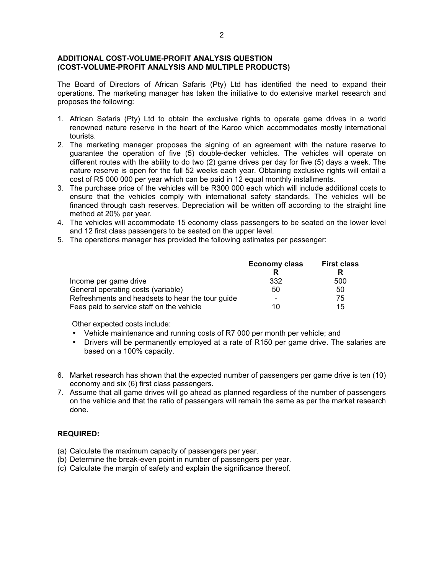#### **ADDITIONAL COST-VOLUME-PROFIT ANALYSIS QUESTION (COST-VOLUME-PROFIT ANALYSIS AND MULTIPLE PRODUCTS)**

The Board of Directors of African Safaris (Pty) Ltd has identified the need to expand their operations. The marketing manager has taken the initiative to do extensive market research and proposes the following:

- 1. African Safaris (Pty) Ltd to obtain the exclusive rights to operate game drives in a world renowned nature reserve in the heart of the Karoo which accommodates mostly international tourists.
- 2. The marketing manager proposes the signing of an agreement with the nature reserve to guarantee the operation of five (5) double-decker vehicles. The vehicles will operate on different routes with the ability to do two (2) game drives per day for five (5) days a week. The nature reserve is open for the full 52 weeks each year. Obtaining exclusive rights will entail a cost of R5 000 000 per year which can be paid in 12 equal monthly installments.
- 3. The purchase price of the vehicles will be R300 000 each which will include additional costs to ensure that the vehicles comply with international safety standards. The vehicles will be financed through cash reserves. Depreciation will be written off according to the straight line method at 20% per year.
- 4. The vehicles will accommodate 15 economy class passengers to be seated on the lower level and 12 first class passengers to be seated on the upper level.
- 5. The operations manager has provided the following estimates per passenger:

|                                                  | <b>Economy class</b> | <b>First class</b> |  |
|--------------------------------------------------|----------------------|--------------------|--|
|                                                  |                      |                    |  |
| Income per game drive                            | 332                  | 500                |  |
| General operating costs (variable)               | 50                   | 50                 |  |
| Refreshments and headsets to hear the tour guide |                      | 75                 |  |
| Fees paid to service staff on the vehicle        | 10                   | 15                 |  |

Other expected costs include:

- Vehicle maintenance and running costs of R7 000 per month per vehicle; and
- Drivers will be permanently employed at a rate of R150 per game drive. The salaries are based on a 100% capacity.
- 6. Market research has shown that the expected number of passengers per game drive is ten (10) economy and six (6) first class passengers.
- 7. Assume that all game drives will go ahead as planned regardless of the number of passengers on the vehicle and that the ratio of passengers will remain the same as per the market research done.

#### **REQUIRED:**

- (a) Calculate the maximum capacity of passengers per year.
- (b) Determine the break-even point in number of passengers per year.
- (c) Calculate the margin of safety and explain the significance thereof.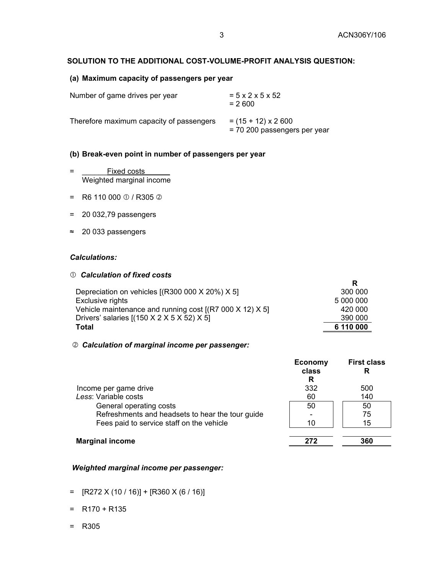#### **SOLUTION TO THE ADDITIONAL COST-VOLUME-PROFIT ANALYSIS QUESTION:**

#### **(a) Maximum capacity of passengers per year**

| Number of game drives per year           | $= 5 \times 2 \times 5 \times 52$<br>$= 2600$             |
|------------------------------------------|-----------------------------------------------------------|
| Therefore maximum capacity of passengers | $= (15 + 12) \times 2600$<br>= 70 200 passengers per year |

#### **(b) Break-even point in number of passengers per year**

- = \_\_\_\_\_\_Fixed costs\_\_\_\_\_\_ Weighted marginal income
- = R6 110 000  $\oplus$  / R305  $\otimes$
- = 20 032,79 passengers
- ≈ 20 033 passengers

#### *Calculations:*

#### c *Calculation of fixed costs*

|                                                                  | R         |
|------------------------------------------------------------------|-----------|
| Depreciation on vehicles $[(R300 000 X 20%) X 5]$                | 300 000   |
| Exclusive rights                                                 | 5 000 000 |
| Vehicle maintenance and running cost $[(R7 000 X 12) X 5]$       | 420 000   |
| Drivers' salaries $[(150 \times 2 \times 5 \times 52) \times 5]$ | 390 000   |
| Total                                                            | 6 110 000 |

#### d *Calculation of marginal income per passenger:*

|                                                  | <b>Economy</b><br>class<br>R | <b>First class</b> |
|--------------------------------------------------|------------------------------|--------------------|
| Income per game drive                            | 332                          | 500                |
| Less: Variable costs                             | 60                           | 140                |
| General operating costs                          | 50                           | 50                 |
| Refreshments and headsets to hear the tour guide |                              | 75                 |
| Fees paid to service staff on the vehicle        | 10                           | 15                 |
| <b>Marginal income</b>                           |                              | 360                |

#### *Weighted marginal income per passenger:*

- $=$  [R272 X (10 / 16)] + [R360 X (6 / 16)]
- $= R170 + R135$
- = R305